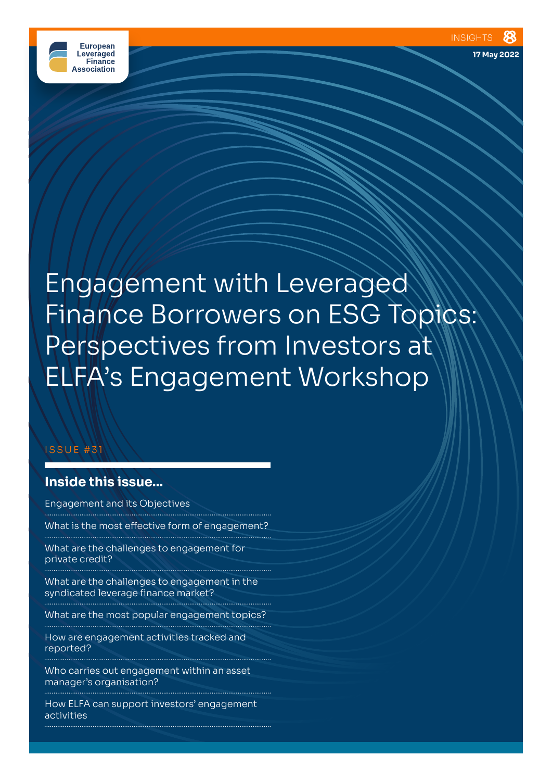

**17 May 2022**

Engagement with Leveraged Finance Borrowers on ESG Topics: Perspectives from Investors at ELFA's Engagement Workshop

## ISSUE #31

# **Inside this issue...**

Engagement and its Objectives

What is the most effective form of engagement?

What are the challenges to engagement for private credit?

What are the challenges to engagement in the syndicated leverage finance market?

What are the most popular engagement topics? 

How are engagement activities tracked and reported?

Who carries out engagement within an asset manager's organisation?

How ELFA can support investors' engagement activities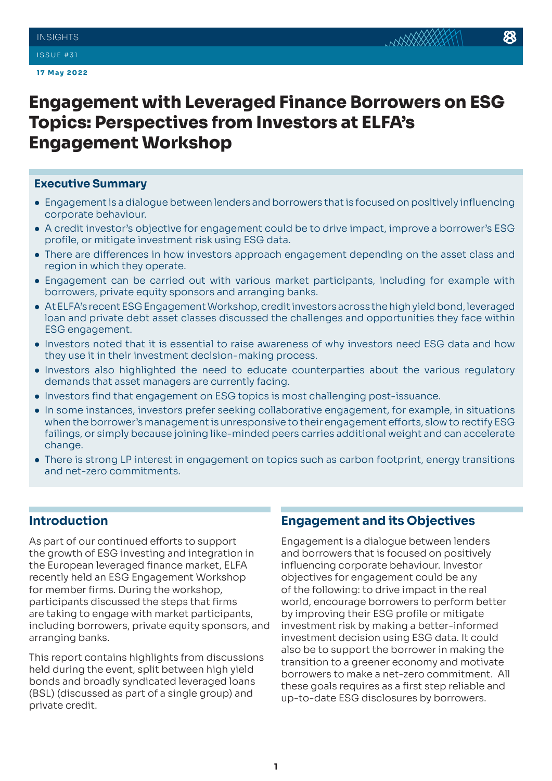#### ISSUE #31

**17 May 2022**

# **Engagement with Leveraged Finance Borrowers on ESG Topics: Perspectives from Investors at ELFA's Engagement Workshop**

#### **Executive Summary**

- Engagement is a dialogue between lenders and borrowers that is focused on positively influencing corporate behaviour.
- A credit investor's objective for engagement could be to drive impact, improve a borrower's ESG profile, or mitigate investment risk using ESG data.
- There are differences in how investors approach engagement depending on the asset class and region in which they operate.
- Engagement can be carried out with various market participants, including for example with borrowers, private equity sponsors and arranging banks.
- At ELFA's recent ESG Engagement Workshop, credit investors across the high yield bond, leveraged loan and private debt asset classes discussed the challenges and opportunities they face within ESG engagement.
- Investors noted that it is essential to raise awareness of why investors need ESG data and how they use it in their investment decision-making process.
- Investors also highlighted the need to educate counterparties about the various regulatory demands that asset managers are currently facing.
- Investors find that engagement on ESG topics is most challenging post-issuance.
- In some instances, investors prefer seeking collaborative engagement, for example, in situations when the borrower's management is unresponsive to their engagement efforts, slow to rectify ESG failings, or simply because joining like-minded peers carries additional weight and can accelerate change.
- There is strong LP interest in engagement on topics such as carbon footprint, energy transitions and net-zero commitments.

# **Introduction**

As part of our continued efforts to support the growth of ESG investing and integration in the European leveraged finance market, ELFA recently held an ESG Engagement Workshop for member firms. During the workshop, participants discussed the steps that firms are taking to engage with market participants, including borrowers, private equity sponsors, and arranging banks.

This report contains highlights from discussions held during the event, split between high yield bonds and broadly syndicated leveraged loans (BSL) (discussed as part of a single group) and private credit.

## **Engagement and its Objectives**

Engagement is a dialogue between lenders and borrowers that is focused on positively influencing corporate behaviour. Investor objectives for engagement could be any of the following: to drive impact in the real world, encourage borrowers to perform better by improving their ESG profile or mitigate investment risk by making a better-informed investment decision using ESG data. It could also be to support the borrower in making the transition to a greener economy and motivate borrowers to make a net-zero commitment. All these goals requires as a first step reliable and up-to-date ESG disclosures by borrowers.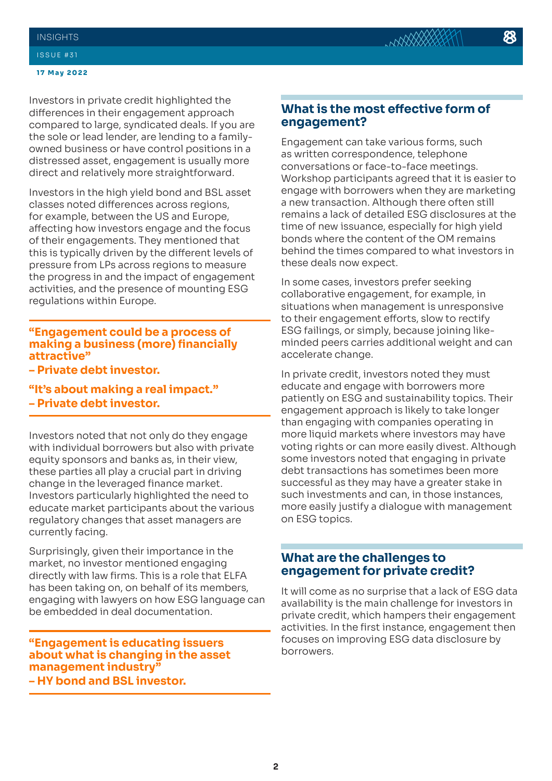#### **INSIGHTS**

#### ISSUE #31

#### **17 May 2022**

Investors in private credit highlighted the differences in their engagement approach compared to large, syndicated deals. If you are the sole or lead lender, are lending to a familyowned business or have control positions in a distressed asset, engagement is usually more direct and relatively more straightforward.

Investors in the high yield bond and BSL asset classes noted differences across regions, for example, between the US and Europe, affecting how investors engage and the focus of their engagements. They mentioned that this is typically driven by the different levels of pressure from LPs across regions to measure the progress in and the impact of engagement activities, and the presence of mounting ESG regulations within Europe.

#### **"Engagement could be a process of making a business (more) financially attractive"**

**– Private debt investor.**

**"It's about making a real impact." – Private debt investor.** 

Investors noted that not only do they engage with individual borrowers but also with private equity sponsors and banks as, in their view, these parties all play a crucial part in driving change in the leveraged finance market. Investors particularly highlighted the need to educate market participants about the various regulatory changes that asset managers are currently facing.

Surprisingly, given their importance in the market, no investor mentioned engaging directly with law firms. This is a role that ELFA has been taking on, on behalf of its members, engaging with lawyers on how ESG language can be embedded in deal documentation.

**"Engagement is educating issuers about what is changing in the asset management industry" – HY bond and BSL investor.** 

## **What is the most effective form of engagement?**

Engagement can take various forms, such as written correspondence, telephone conversations or face-to-face meetings. Workshop participants agreed that it is easier to engage with borrowers when they are marketing a new transaction. Although there often still remains a lack of detailed ESG disclosures at the time of new issuance, especially for high yield bonds where the content of the OM remains behind the times compared to what investors in these deals now expect.

In some cases, investors prefer seeking collaborative engagement, for example, in situations when management is unresponsive to their engagement efforts, slow to rectify ESG failings, or simply, because joining likeminded peers carries additional weight and can accelerate change.

In private credit, investors noted they must educate and engage with borrowers more patiently on ESG and sustainability topics. Their engagement approach is likely to take longer than engaging with companies operating in more liquid markets where investors may have voting rights or can more easily divest. Although some investors noted that engaging in private debt transactions has sometimes been more successful as they may have a greater stake in such investments and can, in those instances, more easily justify a dialogue with management on ESG topics.

## **What are the challenges to engagement for private credit?**

It will come as no surprise that a lack of ESG data availability is the main challenge for investors in private credit, which hampers their engagement activities. In the first instance, engagement then focuses on improving ESG data disclosure by borrowers.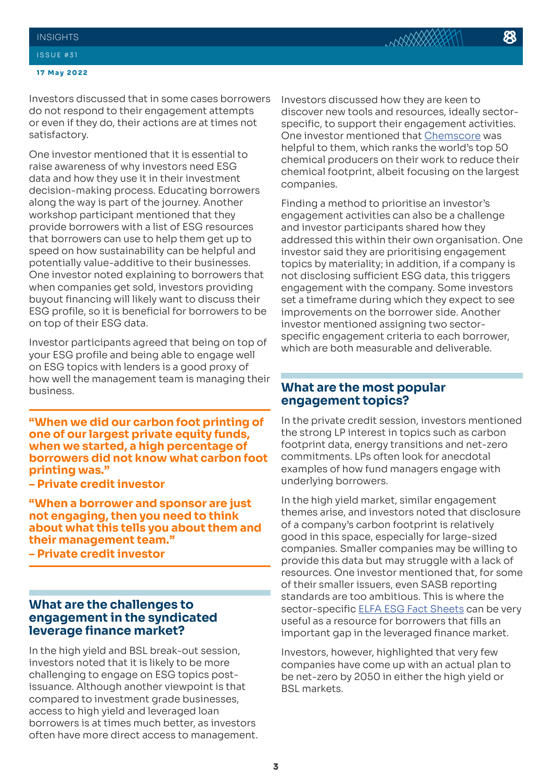#### **17 May 2022**

Investors discussed that in some cases borrowers do not respond to their engagement attempts or even if they do, their actions are at times not satisfactory.

One investor mentioned that it is essential to raise awareness of why investors need ESG data and how they use it in their investment decision-making process. Educating borrowers along the way is part of the journey. Another workshop participant mentioned that they provide borrowers with a list of ESG resources that borrowers can use to help them get up to speed on how sustainability can be helpful and potentially value-additive to their businesses. One investor noted explaining to borrowers that when companies get sold, investors providing buyout financing will likely want to discuss their ESG profile, so it is beneficial for borrowers to be on top of their ESG data.

Investor participants agreed that being on top of your ESG profile and being able to engage well on ESG topics with lenders is a good proxy of how well the management team is managing their business.

**"When we did our carbon foot printing of one of our largest private equity funds, when we started, a high percentage of borrowers did not know what carbon foot printing was."** 

**– Private credit investor** 

**"When a borrower and sponsor are just not engaging, then you need to think about what this tells you about them and their management team."** 

**– Private credit investor**

## **What are the challenges to engagement in the syndicated leverage finance market?**

In the high yield and BSL break-out session, investors noted that it is likely to be more challenging to engage on ESG topics postissuance. Although another viewpoint is that compared to investment grade businesses, access to high yield and leveraged loan borrowers is at times much better, as investors often have more direct access to management. Investors discussed how they are keen to discover new tools and resources, ideally sectorspecific, to support their engagement activities. One investor mentioned that [Chemscore](https://chemscore.chemsec.org/) was helpful to them, which ranks the world's top 50 chemical producers on their work to reduce their chemical footprint, albeit focusing on the largest companies.

Finding a method to prioritise an investor's engagement activities can also be a challenge and investor participants shared how they addressed this within their own organisation. One investor said they are prioritising engagement topics by materiality; in addition, if a company is not disclosing sufficient ESG data, this triggers engagement with the company. Some investors set a timeframe during which they expect to see improvements on the borrower side. Another investor mentioned assigning two sectorspecific engagement criteria to each borrower, which are both measurable and deliverable.

## **What are the most popular engagement topics?**

In the private credit session, investors mentioned the strong LP interest in topics such as carbon footprint data, energy transitions and net-zero commitments. LPs often look for anecdotal examples of how fund managers engage with underlying borrowers.

In the high yield market, similar engagement themes arise, and investors noted that disclosure of a company's carbon footprint is relatively good in this space, especially for large-sized companies. Smaller companies may be willing to provide this data but may struggle with a lack of resources. One investor mentioned that, for some of their smaller issuers, even SASB reporting standards are too ambitious. This is where the sector-specific **ELFA ESG Fact Sheets** can be very useful as a resource for borrowers that fills an important gap in the leveraged finance market.

Investors, however, highlighted that very few companies have come up with an actual plan to be net-zero by 2050 in either the high yield or BSL markets.